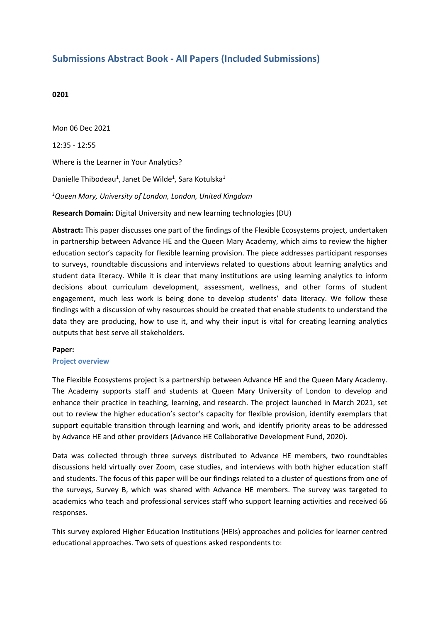# **Submissions Abstract Book - All Papers (Included Submissions)**

## **0201**

Mon 06 Dec 2021 12:35 - 12:55 Where is the Learner in Your Analytics? Danielle Thibodeau<sup>1</sup>, Janet De Wilde<sup>1</sup>, Sara Kotulska<sup>1</sup> *1 Queen Mary, University of London, London, United Kingdom* **Research Domain:** Digital University and new learning technologies (DU)

**Abstract:** This paper discusses one part of the findings of the Flexible Ecosystems project, undertaken in partnership between Advance HE and the Queen Mary Academy, which aims to review the higher education sector's capacity for flexible learning provision. The piece addresses participant responses to surveys, roundtable discussions and interviews related to questions about learning analytics and student data literacy. While it is clear that many institutions are using learning analytics to inform decisions about curriculum development, assessment, wellness, and other forms of student engagement, much less work is being done to develop students' data literacy. We follow these findings with <sup>a</sup> discussion of why resources should be created that enable students to understand the data they are producing, how to use it, and why their input is vital for creating learning analytics outputs that best serve all stakeholders.

## **Paper:**

#### **Project overview**

The Flexible Ecosystems project is <sup>a</sup> partnership between Advance HE and the Queen Mary Academy. The Academy supports staff and students at Queen Mary University of London to develop and enhance their practice in teaching, learning, and research. The project launched in March 2021, set out to review the higher education's sector's capacity for flexible provision, identify exemplars that support equitable transition through learning and work, and identify priority areas to be addressed by Advance HE and other providers (Advance HE Collaborative Development Fund, 2020).

Data was collected through three surveys distributed to Advance HE members, two roundtables discussions held virtually over Zoom, case studies, and interviews with both higher education staff and students. The focus of this paper will be our findings related to <sup>a</sup> cluster of questions from one of the surveys, Survey B, which was shared with Advance HE members. The survey was targeted to academics who teach and professional services staff who support learning activities and received 66 responses.

This survey explored Higher Education Institutions (HEIs) approaches and policies for learner centred educational approaches. Two sets of questions asked respondents to: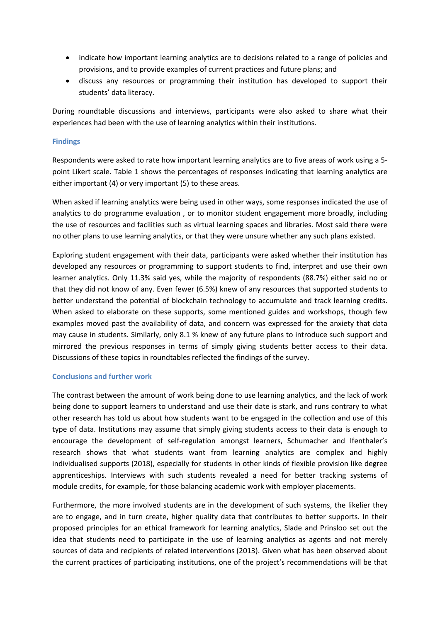- indicate how important learning analytics are to decisions related to <sup>a</sup> range of policies and provisions, and to provide examples of current practices and future plans; and
- discuss any resources or programming their institution has developed to support their students' data literacy.

During roundtable discussions and interviews, participants were also asked to share what their experiences had been with the use of learning analytics within their institutions.

# **Findings**

Respondents were asked to rate how important learning analytics are to five areas of work using <sup>a</sup> 5 point Likert scale. Table 1 shows the percentages of responses indicating that learning analytics are either important (4) or very important (5) to these areas.

When asked if learning analytics were being used in other ways, some responses indicated the use of analytics to do programme evaluation , or to monitor student engagement more broadly, including the use of resources and facilities such as virtual learning spaces and libraries. Most said there were no other plans to use learning analytics, or that they were unsure whether any such plans existed.

Exploring student engagement with their data, participants were asked whether their institution has developed any resources or programming to support students to find, interpret and use their own learner analytics. Only 11.3% said yes, while the majority of respondents (88.7%) either said no or that they did not know of any. Even fewer (6.5%) knew of any resources that supported students to better understand the potential of blockchain technology to accumulate and track learning credits. When asked to elaborate on these supports, some mentioned guides and workshops, though few examples moved past the availability of data, and concern was expressed for the anxiety that data may cause in students. Similarly, only 8.1 % knew of any future plans to introduce such support and mirrored the previous responses in terms of simply giving students better access to their data. Discussions of these topics in roundtables reflected the findings of the survey.

## **Conclusions and further work**

The contrast between the amount of work being done to use learning analytics, and the lack of work being done to support learners to understand and use their date is stark, and runs contrary to what other research has told us about how students want to be engaged in the collection and use of this type of data. Institutions may assume that simply giving students access to their data is enough to encourage the development of self-regulation amongst learners, Schumacher and Ifenthaler's research shows that what students want from learning analytics are complex and highly individualised supports (2018), especially for students in other kinds of flexible provision like degree apprenticeships. Interviews with such students revealed <sup>a</sup> need for better tracking systems of module credits, for example, for those balancing academic work with employer placements.

Furthermore, the more involved students are in the development of such systems, the likelier they are to engage, and in turn create, higher quality data that contributes to better supports. In their proposed principles for an ethical framework for learning analytics, Slade and Prinsloo set out the idea that students need to participate in the use of learning analytics as agents and not merely sources of data and recipients of related interventions (2013). Given what has been observed about the current practices of participating institutions, one of the project's recommendations will be that